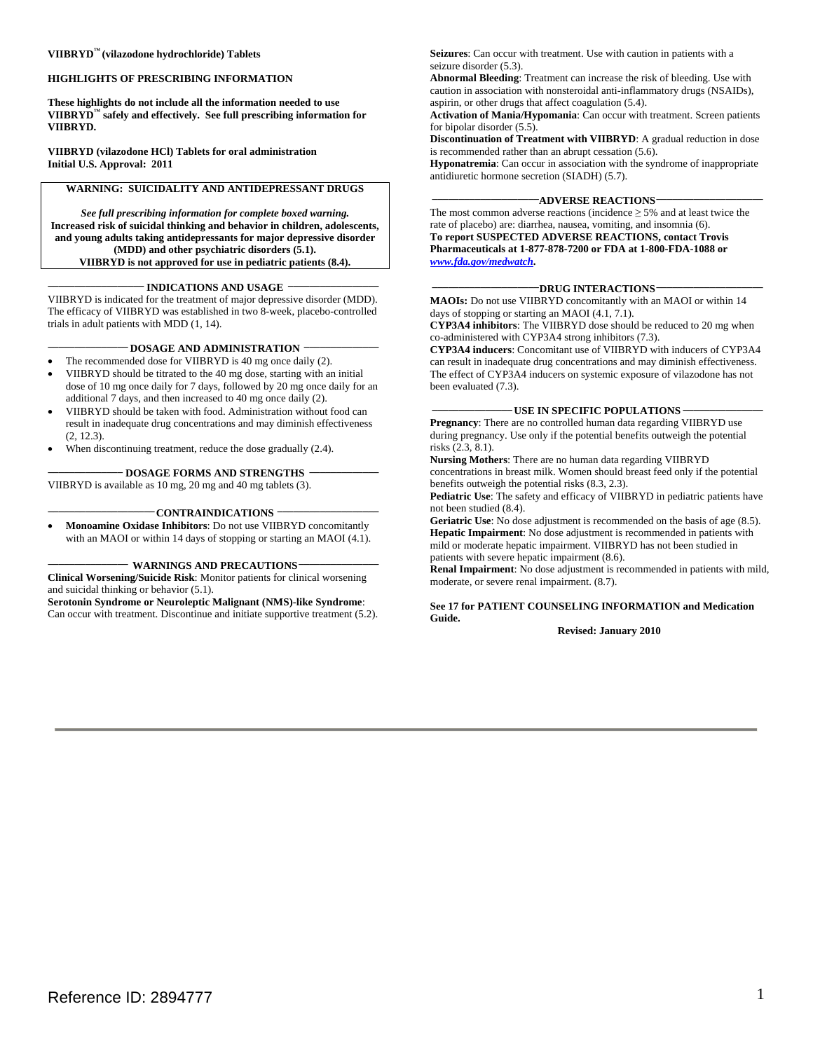### **WIGHLIGHTS OF PRESCRIBING INFORMATION**

 **VIIBRYD™ safely and effectively. See full prescribing information for These highlights do not include all the information needed to use VIIBRYD.** 

 **Initial U.S. Approval: 2011 VIIBRYD (vilazodone HCl) Tablets for oral administration** 

# **WARNING: SUICIDALITY AND ANTIDEPRESSANT DRUGS**

*See full prescribing information for complete boxed warning.*  **Increased risk of suicidal thinking and behavior in children, adolescents, and young adults taking antidepressants for major depressive disorder (MDD) and other psychiatric disorders (5.1). VIIBRYD is not approved for use in pediatric patients (8.4).**

#### **\_\_\_\_\_\_\_\_\_\_\_\_\_\_\_\_\_ \_\_\_\_\_\_\_\_\_\_\_\_\_\_\_\_\_\_ INDICATIONS AND USAGE**

VIIBRYD is indicated for the treatment of major depressive disorder (MDD). The efficacy of VIIBRYD was established in two 8-week, placebo-controlled trials in adult patients with MDD (1, 14).

# **\_\_\_\_\_\_\_\_\_\_\_\_\_\_\_ \_\_\_\_\_\_\_\_\_\_\_\_\_\_ DOSAGE AND ADMINISTRATION**

- The recommended dose for VIIBRYD is 40 mg once daily (2).
- VIIBRYD should be titrated to the 40 mg dose, starting with an initial dose of 10 mg once daily for 7 days, followed by 20 mg once daily for an additional 7 days, and then increased to 40 mg once daily (2).
- VIIBRYD should be taken with food. Administration without food can result in inadequate drug concentrations and may diminish effectiveness (2, 12.3).
- When discontinuing treatment, reduce the dose gradually  $(2.4)$ .

#### **\_\_\_\_\_\_\_\_\_\_\_\_\_ \_\_\_\_\_\_\_\_\_\_\_\_\_\_ DOSAGE FORMS AND STRENGTHS**

VIIBRYD is available as 10 mg, 20 mg and 40 mg tablets (3).

# **\_\_\_\_\_\_\_\_\_\_\_\_\_\_\_\_\_\_\_\_ \_\_\_\_\_\_\_\_\_\_\_\_\_\_\_\_\_\_\_ CONTRAINDICATIONS**

 with an MAOI or within 14 days of stopping or starting an MAOI (4.1). **Monoamine Oxidase Inhibitors:** Do not use VIIBRYD concomitantly

# **\_\_\_\_\_\_\_\_\_\_\_\_\_\_\_ \_\_\_\_\_\_\_\_\_\_\_\_\_\_\_ WARNINGS AND PRECAUTIONS**

**Clinical Worsening/Suicide Risk**: Monitor patients for clinical worsening and suicidal thinking or behavior (5.1).

**Serotonin Syndrome or Neuroleptic Malignant (NMS)-like Syndrome**: Can occur with treatment. Discontinue and initiate supportive treatment (5.2). **Seizures**: Can occur with treatment. Use with caution in patients with a seizure disorder (5.3).

**Abnormal Bleeding**: Treatment can increase the risk of bleeding. Use with caution in association with nonsteroidal anti-inflammatory drugs (NSAIDs), aspirin, or other drugs that affect coagulation (5.4).

**Activation of Mania/Hypomania**: Can occur with treatment. Screen patients for bipolar disorder (5.5).

**Discontinuation of Treatment with VIIBRYD**: A gradual reduction in dose is recommended rather than an abrupt cessation (5.6).

**Hyponatremia**: Can occur in association with the syndrome of inappropriate antidiuretic hormone secretion (SIADH) (5.7).

#### -ADVERSE REACTIONS-

The most common adverse reactions (incidence  $\geq$  5% and at least twice the rate of placebo) are: diarrhea, nausea, vomiting, and insomnia (6). **To report SUSPECTED ADVERSE REACTIONS, contact Trovis Pharmaceuticals at 1-877-878-7200 or FDA at 1-800-FDA-1088 or**  *www.fda.gov/medwatch***.** 

#### **\_\_\_\_\_\_\_\_\_\_\_\_\_\_\_\_\_\_\_\_DRUG INTERACTIONS\_\_\_\_\_\_\_\_\_\_\_\_\_\_\_\_\_\_\_\_**

**MAOIs:** Do not use VIIBRYD concomitantly with an MAOI or within 14 days of stopping or starting an MAOI (4.1, 7.1).

**CYP3A4 inhibitors**: The VIIBRYD dose should be reduced to 20 mg when co-administered with CYP3A4 strong inhibitors (7.3).

**CYP3A4 inducers**: Concomitant use of VIIBRYD with inducers of CYP3A4 can result in inadequate drug concentrations and may diminish effectiveness. The effect of CYP3A4 inducers on systemic exposure of vilazodone has not been evaluated (7.3).

#### **\_\_\_\_\_\_\_\_\_\_\_\_\_\_\_ USE IN SPECIFIC POPULATIONS \_\_\_\_\_\_\_\_\_\_\_\_\_\_\_**

**Pregnancy**: There are no controlled human data regarding VIIBRYD use during pregnancy. Use only if the potential benefits outweigh the potential risks (2.3, 8.1).

 concentrations in breast milk. Women should breast feed only if the potential **Nursing Mothers**: There are no human data regarding VIIBRYD benefits outweigh the potential risks (8.3, 2.3).

**Pediatric Use**: The safety and efficacy of VIIBRYD in pediatric patients have not been studied (8.4).

**Geriatric Use**: No dose adjustment is recommended on the basis of age (8.5). **Hepatic Impairment**: No dose adjustment is recommended in patients with mild or moderate hepatic impairment. VIIBRYD has not been studied in patients with severe hepatic impairment (8.6).

**Renal Impairment**: No dose adjustment is recommended in patients with mild, moderate, or severe renal impairment. (8.7).

#### **See 17 for PATIENT COUNSELING INFORMATION and Medication Guide.**

**Revised: January 2010**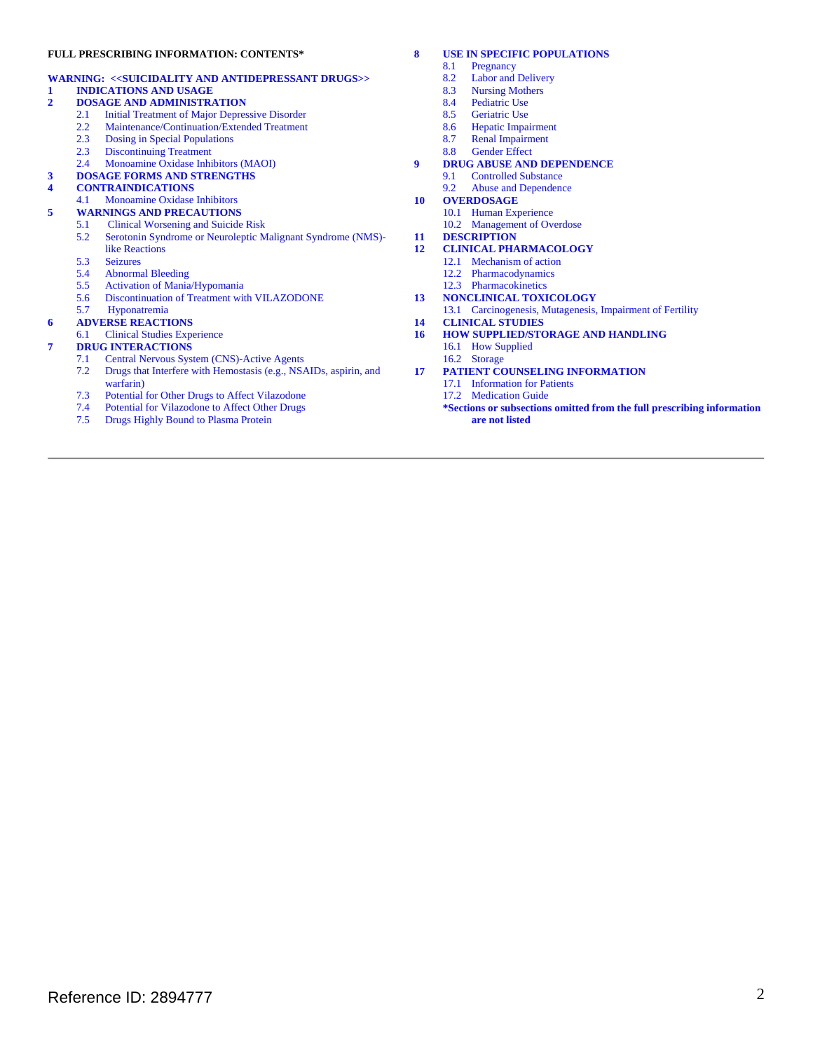# **FULL PRESCRIBING INFORMATION: CONTENTS\***

# **WARNING: <<SUICIDALITY AND ANTIDEPRESSANT DRUGS>>**

# **1 INDICATIONS AND USAGE**

- **2 DOSAGE AND ADMINISTRATION** 
	- 2.1 Initial Treatment of Major Depressive Disorder
	- 2.2 Maintenance/Continuation/Extended Treatment
	- 2.3 Dosing in Special Populations
	- 2.3 Discontinuing Treatment
	- 2.4 Monoamine Oxidase Inhibitors (MAOI)

# **3 DOSAGE FORMS AND STRENGTHS**

# **4 CONTRAINDICATIONS**

- 4.1 Monoamine Oxidase Inhibitors
- **5 WARNINGS AND PRECAUTIONS**<br>5.1 Clinical Worsening and Suicide 5.1 Clinical Worsening and Suicide Risk
	- 5.2 Serotonin Syndrome or Neuroleptic Malignant Syndrome (NMS)like Reactions
	- $\frac{5.3}{5.4}$ **Seizures**
	- Abnormal Bleeding
	- 5.5 Activation of Mania/Hypomania
	- 5.6 Discontinuation of Treatment with VILAZODONE
	- 5.7 Hyponatremia

# **6 ADVERSE REACTIONS**

6.1 Clinical Studies Experience

# **7 DRUG INTERACTIONS**<br> **7.1** Central Nervous Sys

- 7.1 Central Nervous System (CNS)-Active Agents<br>7.2 Drugs that Interfere with Hemostasis (e.g., NSA
- Drugs that Interfere with Hemostasis (e.g., NSAIDs, aspirin, and warfarin)
- 7.3 Potential for Other Drugs to Affect Vilazodone
- Potential for Vilazodone to Affect Other Drugs
- 7.5 Drugs Highly Bound to Plasma Protein

# **8 USE IN SPECIFIC POPULATIONS**<br>8.1 **Pregnancy**

- 8.1 Pregnancy<br>8.2 Labor and
- 8.2 Labor and Delivery
- 8.3 Nursing Mothers<br>8.4 Pediatric Use
- 8.4 Pediatric Use<br>8.5 Geriatric Use
- 8.5 Geriatric Use<br>8.6 Hepatic Impa
- 8.6 Hepatic Impairment<br>8.7 Renal Impairment
- 8.7 Renal Impairment<br>8.8 Gender Effect
- Gender Effect
- **9 DRUG ABUSE AND DEPENDENCE** 
	- 9.1 Controlled Substance
	- 9.2 Abuse and Dependence
- **10 OVERDOSAGE** 
	- 10.1 Human Experience 10.2 Management of Overdose
- **11 DESCRIPTION**

# **12 CLINICAL PHARMACOLOGY**

- 12.1 Mechanism of action
	- 12.2 Pharmacodynamics
- 12.3 Pharmacokinetics
- **13 NONCLINICAL TOXICOLOGY**
- 13.1 Carcinogenesis, Mutagenesis, Impairment of Fertility
- **14 CLINICAL STUDIES**
- **16 HOW SUPPLIED/STORAGE AND HANDLING** 
	- 16.1 How Supplied
	- 16.2 Storage
- **17 PATIENT COUNSELING INFORMATION** 
	- 17.1 Information for Patients
	- 17.2 Medication Guide
	- **\*Sections or subsections omitted from the full prescribing information are not listed**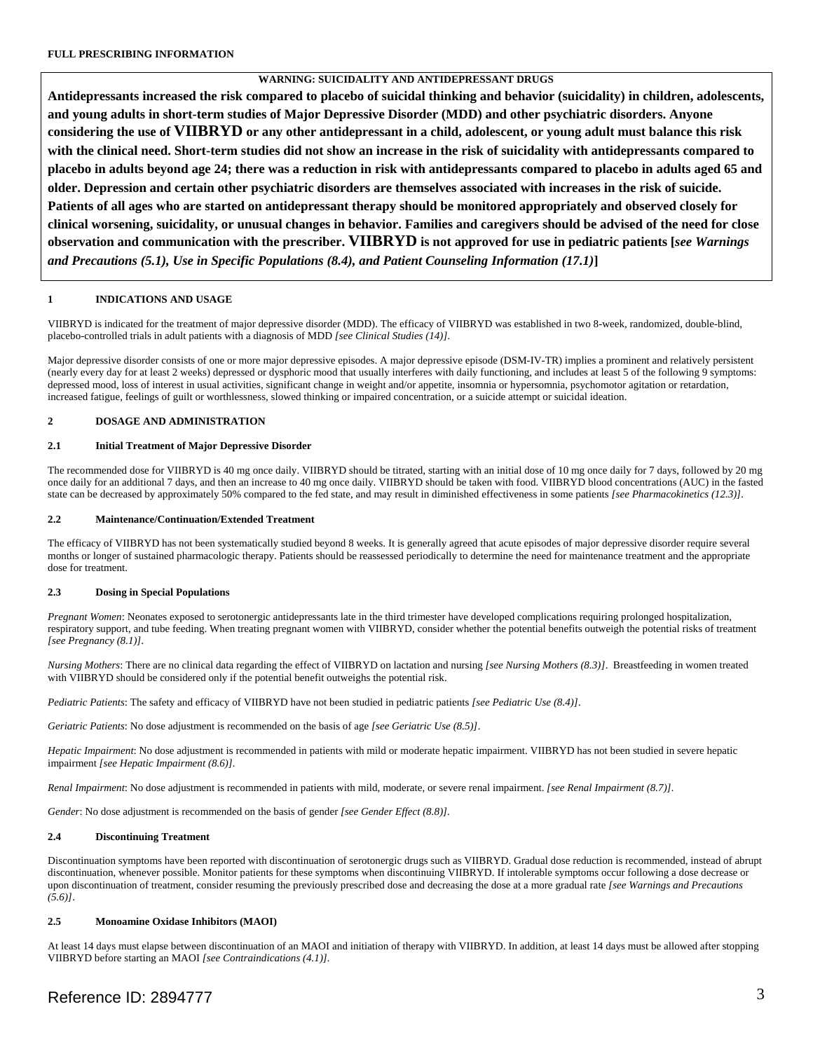# **WARNING: SUICIDALITY AND ANTIDEPRESSANT DRUGS**

**Antidepressants increased the risk compared to placebo of suicidal thinking and behavior (suicidality) in children, adolescents, and young adults in short-term studies of Major Depressive Disorder (MDD) and other psychiatric disorders. Anyone considering the use of VIIBRYD or any other antidepressant in a child, adolescent, or young adult must balance this risk with the clinical need. Short-term studies did not show an increase in the risk of suicidality with antidepressants compared to placebo in adults beyond age 24; there was a reduction in risk with antidepressants compared to placebo in adults aged 65 and older. Depression and certain other psychiatric disorders are themselves associated with increases in the risk of suicide. Patients of all ages who are started on antidepressant therapy should be monitored appropriately and observed closely for clinical worsening, suicidality, or unusual changes in behavior. Families and caregivers should be advised of the need for close observation and communication with the prescriber. VIIBRYD is not approved for use in pediatric patients [***see Warnings and Precautions (5.1), Use in Specific Populations (8.4), and Patient Counseling Information (17.1)***]** 

# **1 INDICATIONS AND USAGE**

VIIBRYD is indicated for the treatment of major depressive disorder (MDD). The efficacy of VIIBRYD was established in two 8-week, randomized, double-blind, placebo-controlled trials in adult patients with a diagnosis of MDD *[see Clinical Studies (14)].* 

 Major depressive disorder consists of one or more major depressive episodes. A major depressive episode (DSM-IV-TR) implies a prominent and relatively persistent (nearly every day for at least 2 weeks) depressed or dysphoric mood that usually interferes with daily functioning, and includes at least 5 of the following 9 symptoms: depressed mood, loss of interest in usual activities, significant change in weight and/or appetite, insomnia or hypersomnia, psychomotor agitation or retardation, increased fatigue, feelings of guilt or worthlessness, slowed thinking or impaired concentration, or a suicide attempt or suicidal ideation.

# **2 DOSAGE AND ADMINISTRATION**

# **2.1 Initial Treatment of Major Depressive Disorder**

The recommended dose for VIIBRYD is 40 mg once daily. VIIBRYD should be titrated, starting with an initial dose of 10 mg once daily for 7 days, followed by 20 mg once daily for an additional 7 days, and then an increase to 40 mg once daily. VIIBRYD should be taken with food. VIIBRYD blood concentrations (AUC) in the fasted state can be decreased by approximately 50% compared to the fed state, and may result in diminished effectiveness in some patients *[see Pharmacokinetics (12.3)].* 

### **2.2 Maintenance/Continuation/Extended Treatment**

The efficacy of VIIBRYD has not been systematically studied beyond 8 weeks. It is generally agreed that acute episodes of major depressive disorder require several months or longer of sustained pharmacologic therapy. Patients should be reassessed periodically to determine the need for maintenance treatment and the appropriate dose for treatment.

# **2.3 Dosing in Special Populations**

[see Pregnancy (8.1)]. *Pregnant Women*: Neonates exposed to serotonergic antidepressants late in the third trimester have developed complications requiring prolonged hospitalization, respiratory support, and tube feeding. When treating pregnant women with VIIBRYD, consider whether the potential benefits outweigh the potential risks of treatment

*Nursing Mothers*: There are no clinical data regarding the effect of VIIBRYD on lactation and nursing *[see Nursing Mothers (8.3)]*. Breastfeeding in women treated with VIIBRYD should be considered only if the potential benefit outweighs the potential risk.

*Pediatric Patients*: The safety and efficacy of VIIBRYD have not been studied in pediatric patients *[see Pediatric Use (8.4)]*.

*Geriatric Patients*: No dose adjustment is recommended on the basis of age *[see Geriatric Use (8.5)]*.

*Hepatic Impairment*: No dose adjustment is recommended in patients with mild or moderate hepatic impairment. VIIBRYD has not been studied in severe hepatic impairment *[see Hepatic Impairment (8.6)].*

*Renal Impairment*: No dose adjustment is recommended in patients with mild, moderate, or severe renal impairment. *[see Renal Impairment (8.7)].*

*Gender*: No dose adjustment is recommended on the basis of gender *[see Gender Effect (8.8)].*

# **2.4 Discontinuing Treatment**

Discontinuation symptoms have been reported with discontinuation of serotonergic drugs such as VIIBRYD. Gradual dose reduction is recommended, instead of abrupt discontinuation, whenever possible. Monitor patients for these symptoms when discontinuing VIIBRYD. If intolerable symptoms occur following a dose decrease or upon discontinuation of treatment, consider resuming the previously prescribed dose and decreasing the dose at a more gradual rate *[see Warnings and Precautions (5.6)]*.

#### **2.5 Monoamine Oxidase Inhibitors (MAOI)**

At least 14 days must elapse between discontinuation of an MAOI and initiation of therapy with VIIBRYD. In addition, at least 14 days must be allowed after stopping VIIBRYD before starting an MAOI *[see Contraindications (4.1)].*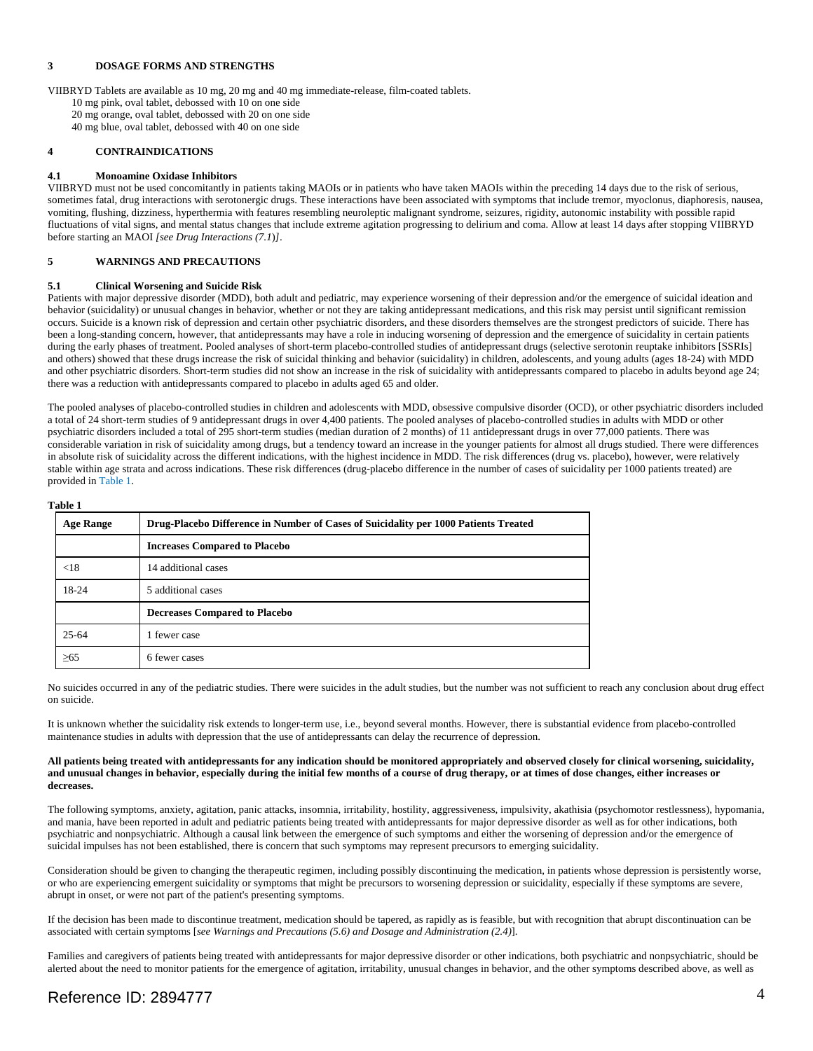#### **3 DOSAGE FORMS AND STRENGTHS**

VIIBRYD Tablets are available as 10 mg, 20 mg and 40 mg immediate-release, film-coated tablets. 10 mg pink, oval tablet, debossed with 10 on one side

20 mg orange, oval tablet, debossed with 20 on one side

40 mg blue, oval tablet, debossed with 40 on one side

# **4 CONTRAINDICATIONS**

# **4.1 Monoamine Oxidase Inhibitors**

VIIBRYD must not be used concomitantly in patients taking MAOIs or in patients who have taken MAOIs within the preceding 14 days due to the risk of serious, sometimes fatal, drug interactions with serotonergic drugs. These interactions have been associated with symptoms that include tremor, myoclonus, diaphoresis, nausea, vomiting, flushing, dizziness, hyperthermia with features resembling neuroleptic malignant syndrome, seizures, rigidity, autonomic instability with possible rapid fluctuations of vital signs, and mental status changes that include extreme agitation progressing to delirium and coma. Allow at least 14 days after stopping VIIBRYD before starting an MAOI *[see Drug Interactions (7.1*)*]*.

### **5 WARNINGS AND PRECAUTIONS**

### **5.1 Clinical Worsening and Suicide Risk**

Patients with major depressive disorder (MDD), both adult and pediatric, may experience worsening of their depression and/or the emergence of suicidal ideation and behavior (suicidality) or unusual changes in behavior, whether or not they are taking antidepressant medications, and this risk may persist until significant remission occurs. Suicide is a known risk of depression and certain other psychiatric disorders, and these disorders themselves are the strongest predictors of suicide. There has been a long-standing concern, however, that antidepressants may have a role in inducing worsening of depression and the emergence of suicidality in certain patients during the early phases of treatment. Pooled analyses of short-term placebo-controlled studies of antidepressant drugs (selective serotonin reuptake inhibitors [SSRIs] and others) showed that these drugs increase the risk of suicidal thinking and behavior (suicidality) in children, adolescents, and young adults (ages 18-24) with MDD and other psychiatric disorders. Short-term studies did not show an increase in the risk of suicidality with antidepressants compared to placebo in adults beyond age 24; there was a reduction with antidepressants compared to placebo in adults aged 65 and older.

 in absolute risk of suicidality across the different indications, with the highest incidence in MDD. The risk differences (drug vs. placebo), however, were relatively The pooled analyses of placebo-controlled studies in children and adolescents with MDD, obsessive compulsive disorder (OCD), or other psychiatric disorders included a total of 24 short-term studies of 9 antidepressant drugs in over 4,400 patients. The pooled analyses of placebo-controlled studies in adults with MDD or other psychiatric disorders included a total of 295 short-term studies (median duration of 2 months) of 11 antidepressant drugs in over 77,000 patients. There was considerable variation in risk of suicidality among drugs, but a tendency toward an increase in the younger patients for almost all drugs studied. There were differences stable within age strata and across indications. These risk differences (drug-placebo difference in the number of cases of suicidality per 1000 patients treated) are provided in Table 1.

#### **Table 1**

| <b>Age Range</b> | Drug-Placebo Difference in Number of Cases of Suicidality per 1000 Patients Treated |
|------------------|-------------------------------------------------------------------------------------|
|                  | <b>Increases Compared to Placebo</b>                                                |
| < 18             | 14 additional cases                                                                 |
| 18-24            | 5 additional cases                                                                  |
|                  | <b>Decreases Compared to Placebo</b>                                                |
| $25 - 64$        | 1 fewer case                                                                        |
| >65              | 6 fewer cases                                                                       |

No suicides occurred in any of the pediatric studies. There were suicides in the adult studies, but the number was not sufficient to reach any conclusion about drug effect on suicide.

 maintenance studies in adults with depression that the use of antidepressants can delay the recurrence of depression. It is unknown whether the suicidality risk extends to longer-term use, i.e., beyond several months. However, there is substantial evidence from placebo-controlled

#### **All patients being treated with antidepressants for any indication should be monitored appropriately and observed closely for clinical worsening, suicidality, and unusual changes in behavior, especially during the initial few months of a course of drug therapy, or at times of dose changes, either increases or decreases.**

 The following symptoms, anxiety, agitation, panic attacks, insomnia, irritability, hostility, aggressiveness, impulsivity, akathisia (psychomotor restlessness), hypomania, and mania, have been reported in adult and pediatric patients being treated with antidepressants for major depressive disorder as well as for other indications, both psychiatric and nonpsychiatric. Although a causal link between the emergence of such symptoms and either the worsening of depression and/or the emergence of suicidal impulses has not been established, there is concern that such symptoms may represent precursors to emerging suicidality.

Consideration should be given to changing the therapeutic regimen, including possibly discontinuing the medication, in patients whose depression is persistently worse, or who are experiencing emergent suicidality or symptoms that might be precursors to worsening depression or suicidality, especially if these symptoms are severe, abrupt in onset, or were not part of the patient's presenting symptoms.

If the decision has been made to discontinue treatment, medication should be tapered, as rapidly as is feasible, but with recognition that abrupt discontinuation can be associated with certain symptoms [*see Warnings and Precautions (5.6) and Dosage and Administration (2.4)*].

Families and caregivers of patients being treated with antidepressants for major depressive disorder or other indications, both psychiatric and nonpsychiatric, should be alerted about the need to monitor patients for the emergence of agitation, irritability, unusual changes in behavior, and the other symptoms described above, as well as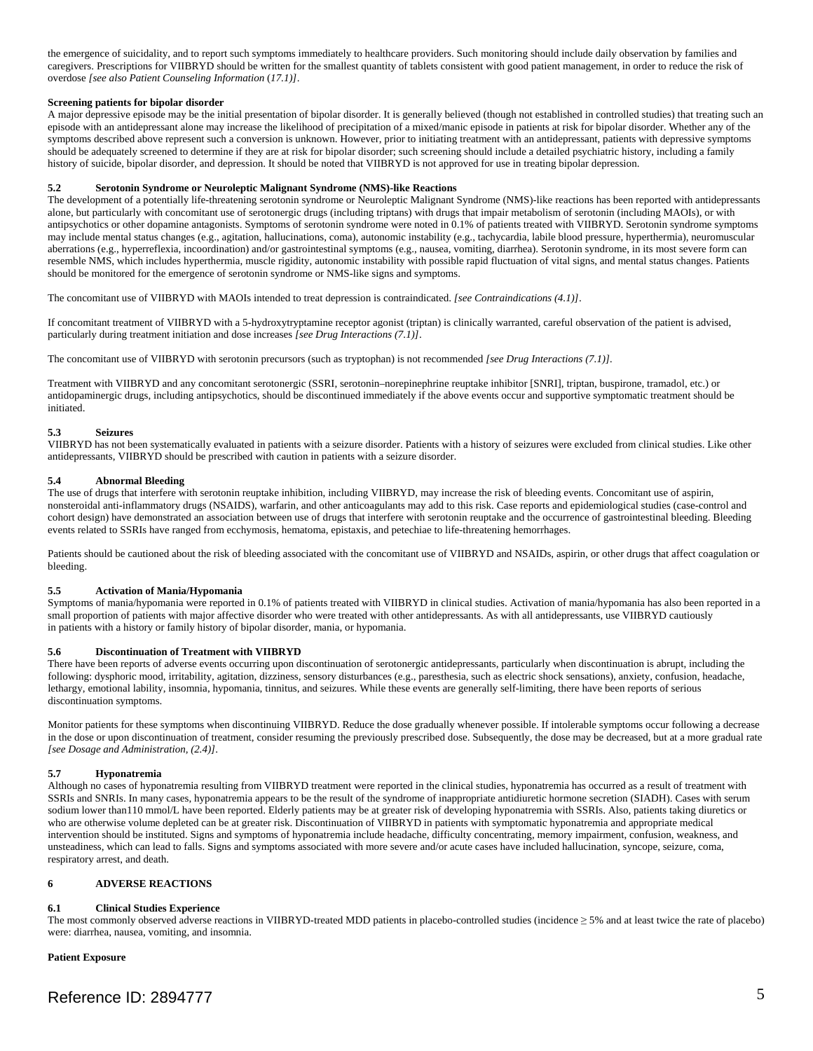the emergence of suicidality, and to report such symptoms immediately to healthcare providers. Such monitoring should include daily observation by families and caregivers. Prescriptions for VIIBRYD should be written for the smallest quantity of tablets consistent with good patient management, in order to reduce the risk of overdose *[see also Patient Counseling Information* (*17.1)]*.

### **Screening patients for bipolar disorder**

A major depressive episode may be the initial presentation of bipolar disorder. It is generally believed (though not established in controlled studies) that treating such an episode with an antidepressant alone may increase the likelihood of precipitation of a mixed/manic episode in patients at risk for bipolar disorder. Whether any of the symptoms described above represent such a conversion is unknown. However, prior to initiating treatment with an antidepressant, patients with depressive symptoms should be adequately screened to determine if they are at risk for bipolar disorder; such screening should include a detailed psychiatric history, including a family history of suicide, bipolar disorder, and depression. It should be noted that VIIBRYD is not approved for use in treating bipolar depression.

### **5.2 Serotonin Syndrome or Neuroleptic Malignant Syndrome (NMS)-like Reactions**

The development of a potentially life-threatening serotonin syndrome or Neuroleptic Malignant Syndrome (NMS)-like reactions has been reported with antidepressants alone, but particularly with concomitant use of serotonergic drugs (including triptans) with drugs that impair metabolism of serotonin (including MAOIs), or with antipsychotics or other dopamine antagonists. Symptoms of serotonin syndrome were noted in 0.1% of patients treated with VIIBRYD. Serotonin syndrome symptoms may include mental status changes (e.g., agitation, hallucinations, coma), autonomic instability (e.g., tachycardia, labile blood pressure, hyperthermia), neuromuscular aberrations (e.g., hyperreflexia, incoordination) and/or gastrointestinal symptoms (e.g., nausea, vomiting, diarrhea). Serotonin syndrome, in its most severe form can resemble NMS, which includes hyperthermia, muscle rigidity, autonomic instability with possible rapid fluctuation of vital signs, and mental status changes. Patients should be monitored for the emergence of serotonin syndrome or NMS-like signs and symptoms.

The concomitant use of VIIBRYD with MAOIs intended to treat depression is contraindicated. *[see Contraindications (4.1)]*.

If concomitant treatment of VIIBRYD with a 5-hydroxytryptamine receptor agonist (triptan) is clinically warranted, careful observation of the patient is advised, particularly during treatment initiation and dose increases *[see Drug Interactions (7.1)]*.

The concomitant use of VIIBRYD with serotonin precursors (such as tryptophan) is not recommended *[see Drug Interactions (7.1)].* 

Treatment with VIIBRYD and any concomitant serotonergic (SSRI, serotonin–norepinephrine reuptake inhibitor [SNRI], triptan, buspirone, tramadol, etc.) or antidopaminergic drugs, including antipsychotics, should be discontinued immediately if the above events occur and supportive symptomatic treatment should be initiated.

# **5.3 Seizures**

VIIBRYD has not been systematically evaluated in patients with a seizure disorder. Patients with a history of seizures were excluded from clinical studies. Like other antidepressants, VIIBRYD should be prescribed with caution in patients with a seizure disorder.

### **5.4 Abnormal Bleeding**

The use of drugs that interfere with serotonin reuptake inhibition, including VIIBRYD, may increase the risk of bleeding events. Concomitant use of aspirin, nonsteroidal anti-inflammatory drugs (NSAIDS), warfarin, and other anticoagulants may add to this risk. Case reports and epidemiological studies (case-control and cohort design) have demonstrated an association between use of drugs that interfere with serotonin reuptake and the occurrence of gastrointestinal bleeding. Bleeding events related to SSRIs have ranged from ecchymosis, hematoma, epistaxis, and petechiae to life-threatening hemorrhages.

 bleeding. Patients should be cautioned about the risk of bleeding associated with the concomitant use of VIIBRYD and NSAIDs, aspirin, or other drugs that affect coagulation or

#### **5.5 Activation of Mania/Hypomania**

small proportion of patients with major affective disorder who were treated with other antidepressants. As with all antidepressants, use VIIBRYD cautiously<br>in patients with a history or family history of bipolar disorder, Symptoms of mania/hypomania were reported in 0.1% of patients treated with VIIBRYD in clinical studies. Activation of mania/hypomania has also been reported in a

#### **5.6 Discontinuation of Treatment with VIIBRYD**

discontinuation symptoms. There have been reports of adverse events occurring upon discontinuation of serotonergic antidepressants, particularly when discontinuation is abrupt, including the following: dysphoric mood, irritability, agitation, dizziness, sensory disturbances (e.g., paresthesia, such as electric shock sensations), anxiety, confusion, headache, lethargy, emotional lability, insomnia, hypomania, tinnitus, and seizures. While these events are generally self-limiting, there have been reports of serious

Monitor patients for these symptoms when discontinuing VIIBRYD. Reduce the dose gradually whenever possible. If intolerable symptoms occur following a decrease in the dose or upon discontinuation of treatment, consider resuming the previously prescribed dose. Subsequently, the dose may be decreased, but at a more gradual rate *[see Dosage and Administration, (2.4)]*.

#### **5.7 Hyponatremia**

 SSRIs and SNRIs. In many cases, hyponatremia appears to be the result of the syndrome of inappropriate antidiuretic hormone secretion (SIADH). Cases with serum Although no cases of hyponatremia resulting from VIIBRYD treatment were reported in the clinical studies, hyponatremia has occurred as a result of treatment with sodium lower than110 mmol/L have been reported. Elderly patients may be at greater risk of developing hyponatremia with SSRIs. Also, patients taking diuretics or who are otherwise volume depleted can be at greater risk. Discontinuation of VIIBRYD in patients with symptomatic hyponatremia and appropriate medical intervention should be instituted. Signs and symptoms of hyponatremia include headache, difficulty concentrating, memory impairment, confusion, weakness, and unsteadiness, which can lead to falls. Signs and symptoms associated with more severe and/or acute cases have included hallucination, syncope, seizure, coma, respiratory arrest, and death.

# **6 ADVERSE REACTIONS**

#### **6.1 Clinical Studies Experience**

The most commonly observed adverse reactions in VIIBRYD-treated MDD patients in placebo-controlled studies (incidence ≥ 5% and at least twice the rate of placebo) were: diarrhea, nausea, vomiting, and insomnia.

#### **Patient Exposure**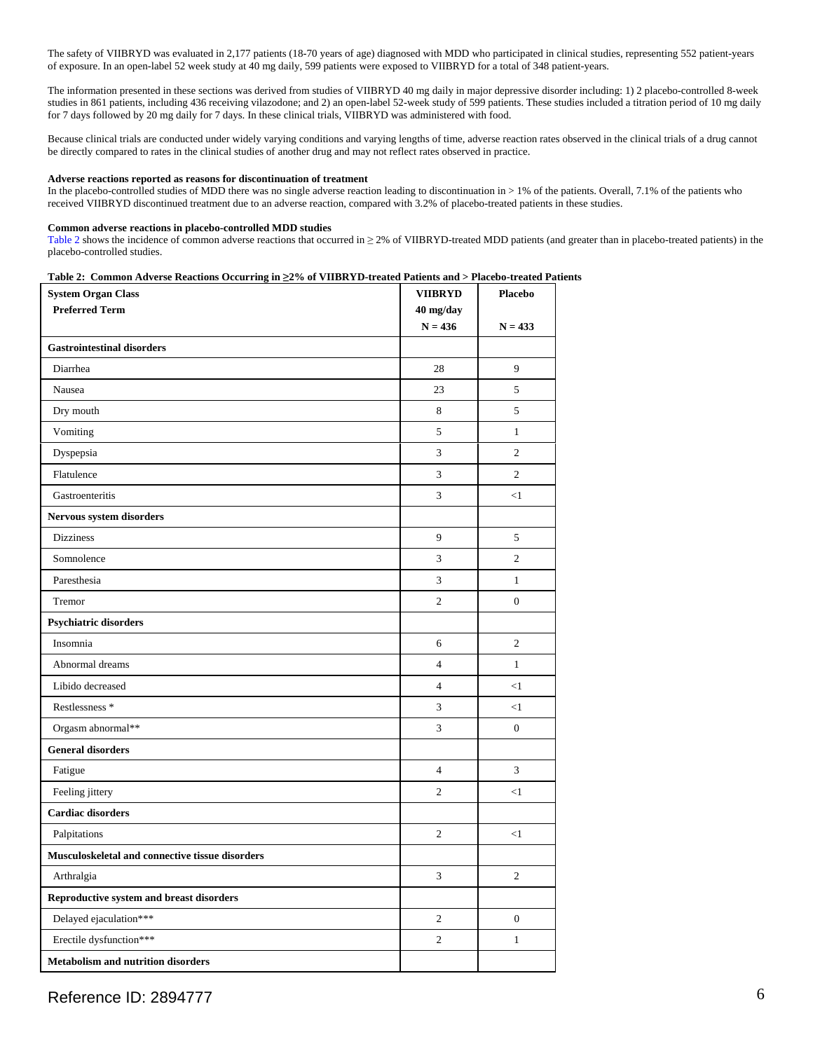The safety of VIIBRYD was evaluated in 2,177 patients (18-70 years of age) diagnosed with MDD who participated in clinical studies, representing 552 patient-years of exposure. In an open-label 52 week study at 40 mg daily, 599 patients were exposed to VIIBRYD for a total of 348 patient-years.

The information presented in these sections was derived from studies of VIIBRYD 40 mg daily in major depressive disorder including: 1) 2 placebo-controlled 8-week studies in 861 patients, including 436 receiving vilazodone; and 2) an open-label 52-week study of 599 patients. These studies included a titration period of 10 mg daily for 7 days followed by 20 mg daily for 7 days. In these clinical trials, VIIBRYD was administered with food.

Because clinical trials are conducted under widely varying conditions and varying lengths of time, adverse reaction rates observed in the clinical trials of a drug cannot be directly compared to rates in the clinical studies of another drug and may not reflect rates observed in practice.

#### **Adverse reactions reported as reasons for discontinuation of treatment**

 received VIIBRYD discontinued treatment due to an adverse reaction, compared with 3.2% of placebo-treated patients in these studies. In the placebo-controlled studies of MDD there was no single adverse reaction leading to discontinuation in > 1% of the patients. Overall, 7.1% of the patients who

#### **Common adverse reactions in placebo-controlled MDD studies**

Table 2 shows the incidence of common adverse reactions that occurred in  $\geq$  2% of VIIBRYD-treated MDD patients (and greater than in placebo-treated patients) in the placebo-controlled studies.

#### **Table 2: Common Adverse Reactions Occurring in ≥2% of VIIBRYD-treated Patients and > Placebo-treated Patients**

| <b>System Organ Class</b>                       | <b>VIIBRYD</b>         | <b>Placebo</b>   |  |
|-------------------------------------------------|------------------------|------------------|--|
| <b>Preferred Term</b>                           | 40 mg/day<br>$N = 436$ | $N = 433$        |  |
| <b>Gastrointestinal disorders</b>               |                        |                  |  |
| Diarrhea                                        | 28                     | 9                |  |
| Nausea                                          | 23                     | 5                |  |
| Dry mouth                                       | 8                      | 5                |  |
| Vomiting                                        | 5                      | $\,1$            |  |
| Dyspepsia                                       | 3                      | $\overline{c}$   |  |
| Flatulence                                      | 3                      | $\overline{c}$   |  |
| Gastroenteritis                                 | 3                      | <1               |  |
| Nervous system disorders                        |                        |                  |  |
| <b>Dizziness</b>                                | 9                      | 5                |  |
| Somnolence                                      | 3                      | $\overline{c}$   |  |
| Paresthesia                                     | 3                      | $\mathbf{1}$     |  |
| Tremor                                          | $\mathfrak{2}$         | $\boldsymbol{0}$ |  |
| <b>Psychiatric disorders</b>                    |                        |                  |  |
| Insomnia                                        | 6                      | $\overline{2}$   |  |
| Abnormal dreams                                 | $\overline{4}$         | $\mathbf{1}$     |  |
| Libido decreased                                | $\overline{4}$         | $<1\,$           |  |
| Restlessness <sup>*</sup>                       | 3                      | <1               |  |
| Orgasm abnormal**                               | 3                      | $\boldsymbol{0}$ |  |
| <b>General disorders</b>                        |                        |                  |  |
| Fatigue                                         | $\overline{4}$         | 3                |  |
| Feeling jittery                                 | $\mathfrak{2}$         | <1               |  |
| <b>Cardiac disorders</b>                        |                        |                  |  |
| Palpitations                                    | $\overline{2}$         | <1               |  |
| Musculoskeletal and connective tissue disorders |                        |                  |  |
| Arthralgia                                      | 3                      | $\mathbf{2}$     |  |
| Reproductive system and breast disorders        |                        |                  |  |
| Delayed ejaculation***                          | $\overline{c}$         | $\boldsymbol{0}$ |  |
| Erectile dysfunction***                         | $\overline{c}$         | $\mathbf{1}$     |  |
| <b>Metabolism and nutrition disorders</b>       |                        |                  |  |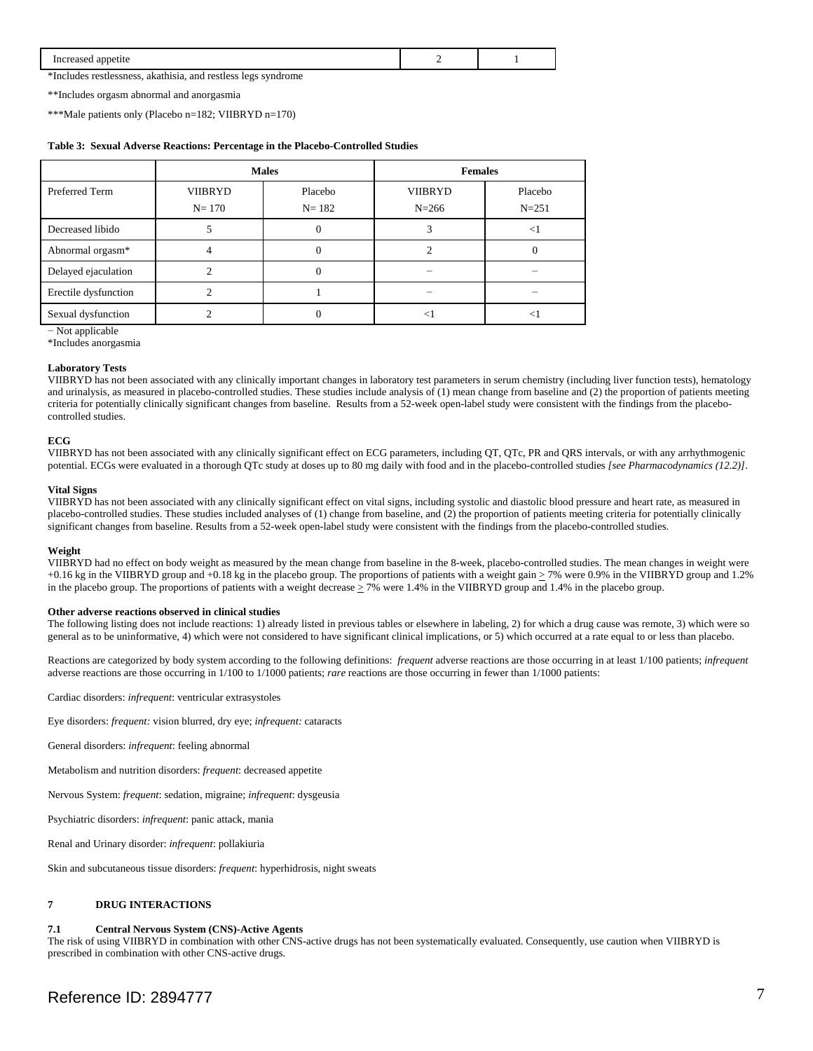| Increased appetite                                            |  |
|---------------------------------------------------------------|--|
| *Includes restlessness, akathisia, and restless legs syndrome |  |

\*\*Includes orgasm abnormal and anorgasmia

\*\*\*Male patients only (Placebo n=182; VIIBRYD n=170)

#### **Table 3: Sexual Adverse Reactions: Percentage in the Placebo-Controlled Studies**

|                      | <b>Males</b>   |           | <b>Females</b> |           |
|----------------------|----------------|-----------|----------------|-----------|
| Preferred Term       | <b>VIIBRYD</b> | Placebo   | <b>VIIBRYD</b> | Placebo   |
|                      | $N = 170$      | $N = 182$ | $N = 266$      | $N = 251$ |
| Decreased libido     |                | 0         |                | $<$ 1     |
| Abnormal orgasm*     |                |           |                |           |
| Delayed ejaculation  |                | 0         |                |           |
| Erectile dysfunction |                |           |                |           |
| Sexual dysfunction   |                |           |                |           |

− Not applicable

\*Includes anorgasmia

### **Laboratory Tests**

VIIBRYD has not been associated with any clinically important changes in laboratory test parameters in serum chemistry (including liver function tests), hematology and urinalysis, as measured in placebo-controlled studies. These studies include analysis of (1) mean change from baseline and (2) the proportion of patients meeting criteria for potentially clinically significant changes from baseline. Results from a 52-week open-label study were consistent with the findings from the placebocontrolled studies.

#### **ECG**

VIIBRYD has not been associated with any clinically significant effect on ECG parameters, including QT, QTc, PR and QRS intervals, or with any arrhythmogenic potential. ECGs were evaluated in a thorough QTc study at doses up to 80 mg daily with food and in the placebo-controlled studies *[see Pharmacodynamics (12.2)]*.

### **Vital Signs**

VIIBRYD has not been associated with any clinically significant effect on vital signs, including systolic and diastolic blood pressure and heart rate, as measured in placebo-controlled studies. These studies included analyses of (1) change from baseline, and (2) the proportion of patients meeting criteria for potentially clinically significant changes from baseline. Results from a 52-week open-label study were consistent with the findings from the placebo-controlled studies.

#### **Weight**

VIIBRYD had no effect on body weight as measured by the mean change from baseline in the 8-week, placebo-controlled studies. The mean changes in weight were +0.16 kg in the VIIBRYD group and +0.18 kg in the placebo group. The proportions of patients with a weight gain  $\geq$  7% were 0.9% in the VIIBRYD group and 1.2% in the placebo group. The proportions of patients with a weight decrease  $\geq$  7% were 1.4% in the VIIBRYD group and 1.4% in the placebo group.

#### **Other adverse reactions observed in clinical studies**

The following listing does not include reactions: 1) already listed in previous tables or elsewhere in labeling, 2) for which a drug cause was remote, 3) which were so general as to be uninformative, 4) which were not considered to have significant clinical implications, or 5) which occurred at a rate equal to or less than placebo.

Reactions are categorized by body system according to the following definitions: *frequent* adverse reactions are those occurring in at least 1/100 patients; *infrequent*  adverse reactions are those occurring in 1/100 to 1/1000 patients; *rare* reactions are those occurring in fewer than 1/1000 patients:

Cardiac disorders: *infrequent*: ventricular extrasystoles

Eye disorders: *frequent:* vision blurred, dry eye; *infrequent:* cataracts

General disorders: *infrequent*: feeling abnormal

Metabolism and nutrition disorders: *frequent*: decreased appetite

Nervous System: *frequent*: sedation, migraine; *infrequent*: dysgeusia

Psychiatric disorders: *infrequent*: panic attack, mania

Renal and Urinary disorder: *infrequent*: pollakiuria

Skin and subcutaneous tissue disorders: *frequent*: hyperhidrosis, night sweats

# **7 DRUG INTERACTIONS**

#### **7.1 Central Nervous System (CNS)-Active Agents**

The risk of using VIIBRYD in combination with other CNS-active drugs has not been systematically evaluated. Consequently, use caution when VIIBRYD is prescribed in combination with other CNS-active drugs.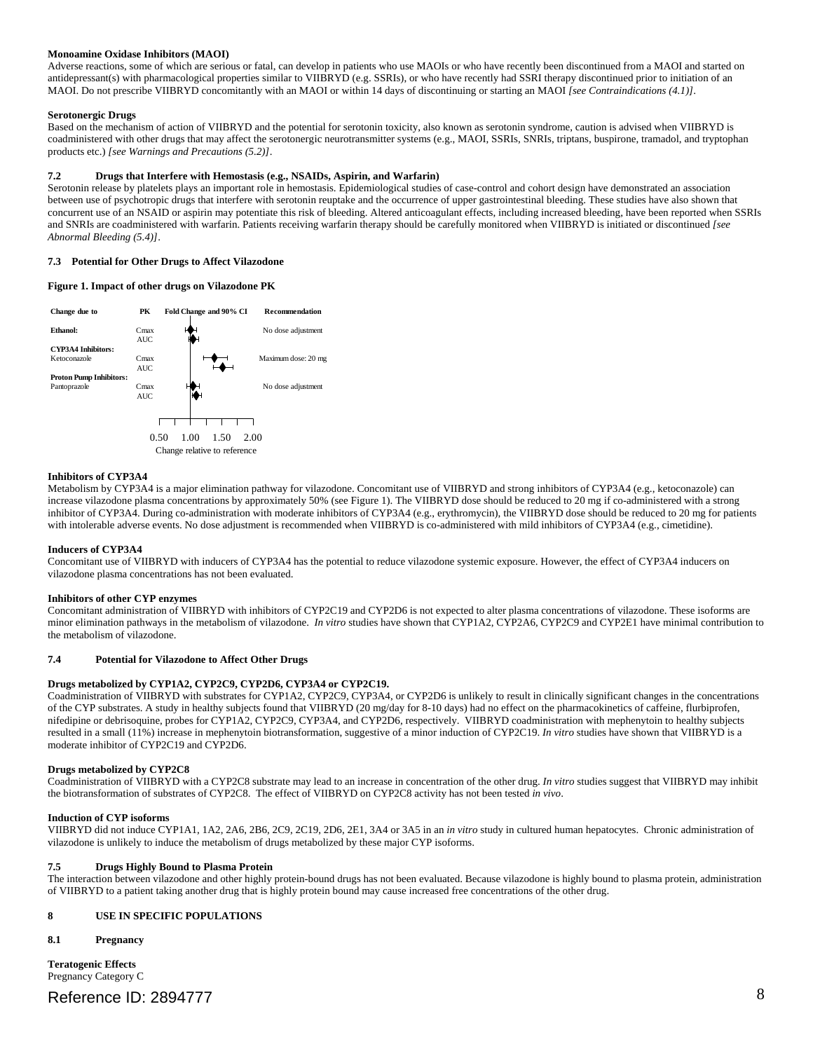#### **Monoamine Oxidase Inhibitors (MAOI)**

 MAOI. Do not prescribe VIIBRYD concomitantly with an MAOI or within 14 days of discontinuing or starting an MAOI *[see Contraindications (4.1)]*. Adverse reactions, some of which are serious or fatal, can develop in patients who use MAOIs or who have recently been discontinued from a MAOI and started on antidepressant(s) with pharmacological properties similar to VIIBRYD (e.g. SSRIs), or who have recently had SSRI therapy discontinued prior to initiation of an

### **Serotonergic Drugs**

Based on the mechanism of action of VIIBRYD and the potential for serotonin toxicity, also known as serotonin syndrome, caution is advised when VIIBRYD is coadministered with other drugs that may affect the serotonergic neurotransmitter systems (e.g., MAOI, SSRIs, SNRIs, triptans, buspirone, tramadol, and tryptophan products etc.) *[see Warnings and Precautions (5.2)]*.

### **7.2 Drugs that Interfere with Hemostasis (e.g., NSAIDs, Aspirin, and Warfarin)**

 and SNRIs are coadministered with warfarin. Patients receiving warfarin therapy should be carefully monitored when VIIBRYD is initiated or discontinued *[see*  Serotonin release by platelets plays an important role in hemostasis. Epidemiological studies of case-control and cohort design have demonstrated an association between use of psychotropic drugs that interfere with serotonin reuptake and the occurrence of upper gastrointestinal bleeding. These studies have also shown that concurrent use of an NSAID or aspirin may potentiate this risk of bleeding. Altered anticoagulant effects, including increased bleeding, have been reported when SSRIs *Abnormal Bleeding (5.4)]*.

### **7.3 Potential for Other Drugs to Affect Vilazodone**

### **Figure 1. Impact of other drugs on Vilazodone PK**



#### **Inhibitors of CYP3A4**

with intolerable adverse events. No dose adjustment is recommended when VIIBRYD is co-administered with mild inhibitors of CYP3A4 (e.g., cimetidine). Metabolism by CYP3A4 is a major elimination pathway for vilazodone. Concomitant use of VIIBRYD and strong inhibitors of CYP3A4 (e.g., ketoconazole) can increase vilazodone plasma concentrations by approximately 50% (see Figure 1). The VIIBRYD dose should be reduced to 20 mg if co-administered with a strong inhibitor of CYP3A4. During co-administration with moderate inhibitors of CYP3A4 (e.g., erythromycin), the VIIBRYD dose should be reduced to 20 mg for patients

#### **Inducers of CYP3A4**

Concomitant use of VIIBRYD with inducers of CYP3A4 has the potential to reduce vilazodone systemic exposure. However, the effect of CYP3A4 inducers on vilazodone plasma concentrations has not been evaluated.

#### **Inhibitors of other CYP enzymes**

 minor elimination pathways in the metabolism of vilazodone. *In vitro* studies have shown that CYP1A2, CYP2A6, CYP2C9 and CYP2E1 have minimal contribution to Concomitant administration of VIIBRYD with inhibitors of CYP2C19 and CYP2D6 is not expected to alter plasma concentrations of vilazodone. These isoforms are the metabolism of vilazodone.

#### **7.4 Potential for Vilazodone to Affect Other Drugs**

#### **Drugs metabolized by CYP1A2, CYP2C9, CYP2D6, CYP3A4 or CYP2C19.**

 nifedipine or debrisoquine, probes for CYP1A2, CYP2C9, CYP3A4, and CYP2D6, respectively. VIIBRYD coadministration with mephenytoin to healthy subjects Coadministration of VIIBRYD with substrates for CYP1A2, CYP2C9, CYP3A4, or CYP2D6 is unlikely to result in clinically significant changes in the concentrations of the CYP substrates. A study in healthy subjects found that VIIBRYD (20 mg/day for 8-10 days) had no effect on the pharmacokinetics of caffeine, flurbiprofen, resulted in a small (11%) increase in mephenytoin biotransformation, suggestive of a minor induction of CYP2C19. *In vitro* studies have shown that VIIBRYD is a moderate inhibitor of CYP2C19 and CYP2D6.

#### **Drugs metabolized by CYP2C8**

Coadministration of VIIBRYD with a CYP2C8 substrate may lead to an increase in concentration of the other drug. *In vitro* studies suggest that VIIBRYD may inhibit the biotransformation of substrates of CYP2C8. The effect of VIIBRYD on CYP2C8 activity has not been tested *in vivo*.

#### **Induction of CYP isoforms**

VIIBRYD did not induce CYP1A1, 1A2, 2A6, 2B6, 2C9, 2C19, 2D6, 2E1, 3A4 or 3A5 in an *in vitro* study in cultured human hepatocytes. Chronic administration of vilazodone is unlikely to induce the metabolism of drugs metabolized by these major CYP isoforms.

#### **7.5 Drugs Highly Bound to Plasma Protein**

The interaction between vilazodone and other highly protein-bound drugs has not been evaluated. Because vilazodone is highly bound to plasma protein, administration of VIIBRYD to a patient taking another drug that is highly protein bound may cause increased free concentrations of the other drug.

#### **8 USE IN SPECIFIC POPULATIONS**

#### **8.1 Pregnancy**

**Teratogenic Effects**  Pregnancy Category C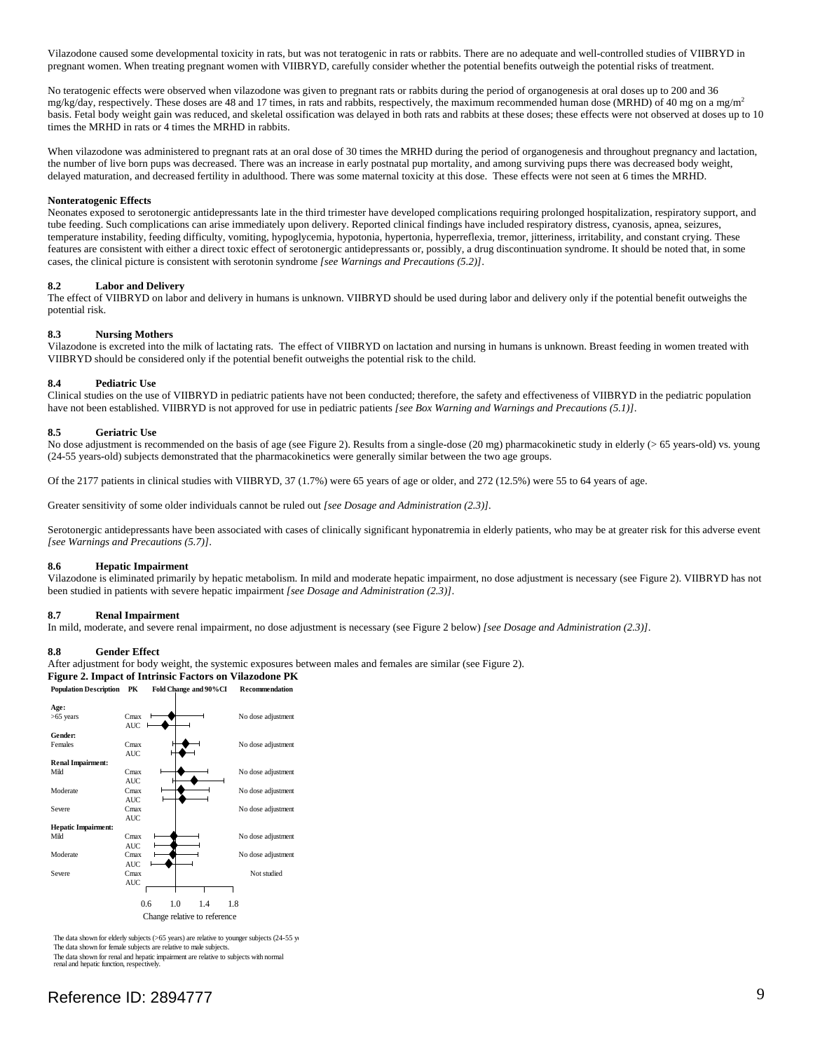Vilazodone caused some developmental toxicity in rats, but was not teratogenic in rats or rabbits. There are no adequate and well-controlled studies of VIIBRYD in pregnant women. When treating pregnant women with VIIBRYD, carefully consider whether the potential benefits outweigh the potential risks of treatment.

No teratogenic effects were observed when vilazodone was given to pregnant rats or rabbits during the period of organogenesis at oral doses up to 200 and 36 mg/kg/day, respectively. These doses are 48 and 17 times, in rats and rabbits, respectively, the maximum recommended human dose (MRHD) of 40 mg on a mg/m<sup>2</sup> basis. Fetal body weight gain was reduced, and skeletal ossification was delayed in both rats and rabbits at these doses; these effects were not observed at doses up to 10 times the MRHD in rats or 4 times the MRHD in rabbits.

 delayed maturation, and decreased fertility in adulthood. There was some maternal toxicity at this dose. These effects were not seen at 6 times the MRHD. When vilazodone was administered to pregnant rats at an oral dose of 30 times the MRHD during the period of organogenesis and throughout pregnancy and lactation, the number of live born pups was decreased. There was an increase in early postnatal pup mortality, and among surviving pups there was decreased body weight,

#### **Nonteratogenic Effects**

Neonates exposed to serotonergic antidepressants late in the third trimester have developed complications requiring prolonged hospitalization, respiratory support, and tube feeding. Such complications can arise immediately upon delivery. Reported clinical findings have included respiratory distress, cyanosis, apnea, seizures, temperature instability, feeding difficulty, vomiting, hypoglycemia, hypotonia, hypertonia, hyperreflexia, tremor, jitteriness, irritability, and constant crying. These features are consistent with either a direct toxic effect of serotonergic antidepressants or, possibly, a drug discontinuation syndrome. It should be noted that, in some cases, the clinical picture is consistent with serotonin syndrome *[see Warnings and Precautions (5.2)]*.

#### **8.2 Labor and Delivery**

The effect of VIIBRYD on labor and delivery in humans is unknown. VIIBRYD should be used during labor and delivery only if the potential benefit outweighs the potential risk.

#### **8.3 Nursing Mothers**

 Vilazodone is excreted into the milk of lactating rats. The effect of VIIBRYD on lactation and nursing in humans is unknown. Breast feeding in women treated with VIIBRYD should be considered only if the potential benefit outweighs the potential risk to the child.

#### **8.4 Pediatric Use**

Clinical studies on the use of VIIBRYD in pediatric patients have not been conducted; therefore, the safety and effectiveness of VIIBRYD in the pediatric population have not been established. VIIBRYD is not approved for use in pediatric patients [see Box Warning and Warnings and Precautions (5.1)].

### **8.5 Geriatric Use**

No dose adjustment is recommended on the basis of age (see Figure 2). Results from a single-dose (20 mg) pharmacokinetic study in elderly (> 65 years-old) vs. young (24-55 years-old) subjects demonstrated that the pharmacokinetics were generally similar between the two age groups.

Of the 2177 patients in clinical studies with VIIBRYD, 37 (1.7%) were 65 years of age or older, and 272 (12.5%) were 55 to 64 years of age.

Greater sensitivity of some older individuals cannot be ruled out *[see Dosage and Administration (2.3)].* 

Serotonergic antidepressants have been associated with cases of clinically significant hyponatremia in elderly patients, who may be at greater risk for this adverse event *[see Warnings and Precautions (5.7)]*.

#### **8.6 Hepatic Impairment**

Vilazodone is eliminated primarily by hepatic metabolism. In mild and moderate hepatic impairment, no dose adjustment is necessary (see Figure 2). VIIBRYD has not been studied in patients with severe hepatic impairment *[see Dosage and Administration (2.3)]*.

#### **8.7 Renal Impairment**

In mild, moderate, and severe renal impairment, no dose adjustment is necessary (see Figure 2 below) *[see Dosage and Administration (2.3)]*.

#### **8.8 Gender Effect**

After adjustment for body weight, the systemic exposures between males and females are similar (see Figure 2).

# **Figure 2. Impact of Intrinsic Factors on Vilazodone PK**

**Population Description PK Fold Change and 90%CI Recommendation** 



 The data shown for elderly subjects (>65 years) are relative to younger subjects (24-55 ye The data shown for female subjects are relative to male subjects. The data shown for female subjects are relative to male subjects.<br>The data shown for renal and hepatic impairment are relative to subjects with normal<br>renal and hepatic function, respectively.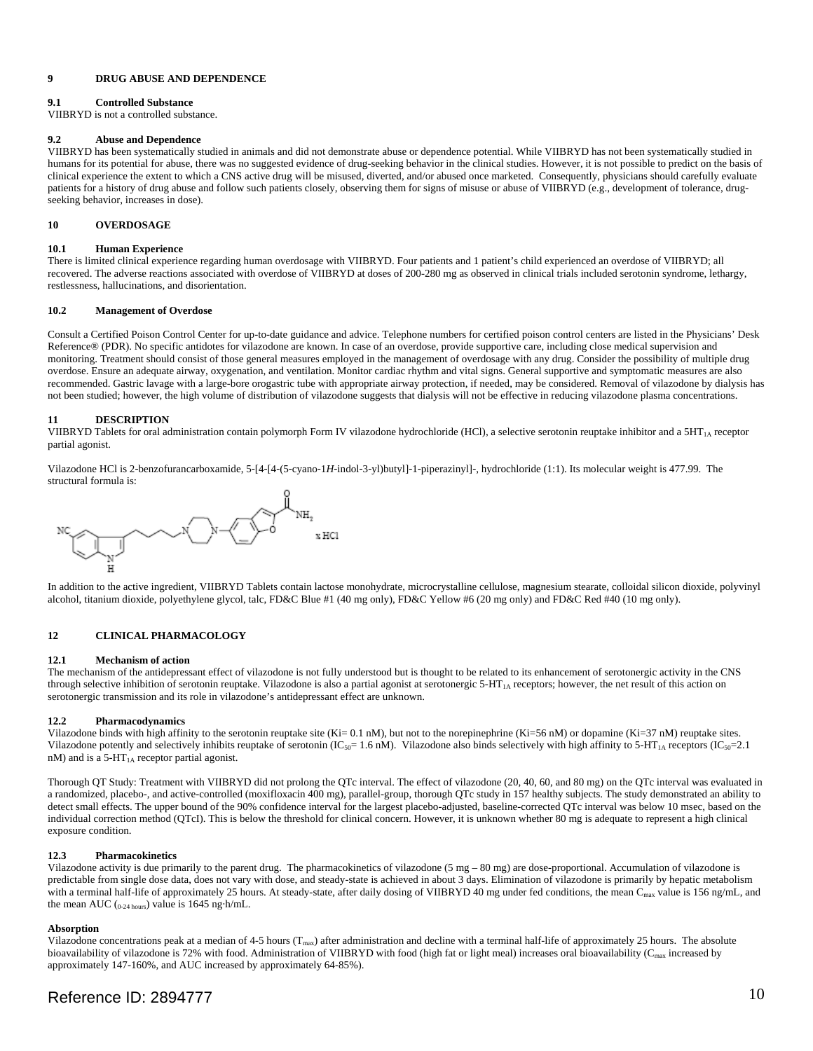### **9 DRUG ABUSE AND DEPENDENCE**

# **9.1 Controlled Substance**

VIIBRYD is not a controlled substance.

### **9.2 Abuse and Dependence**

VIIBRYD has been systematically studied in animals and did not demonstrate abuse or dependence potential. While VIIBRYD has not been systematically studied in humans for its potential for abuse, there was no suggested evidence of drug-seeking behavior in the clinical studies. However, it is not possible to predict on the basis of clinical experience the extent to which a CNS active drug will be misused, diverted, and/or abused once marketed. Consequently, physicians should carefully evaluate patients for a history of drug abuse and follow such patients closely, observing them for signs of misuse or abuse of VIIBRYD (e.g., development of tolerance, drugseeking behavior, increases in dose).

# **10 OVERDOSAGE**

#### **10.1 Human Experience**

There is limited clinical experience regarding human overdosage with VIIBRYD. Four patients and 1 patient's child experienced an overdose of VIIBRYD; all recovered. The adverse reactions associated with overdose of VIIBRYD at doses of 200-280 mg as observed in clinical trials included serotonin syndrome, lethargy, restlessness, hallucinations, and disorientation.

### **10.2 Management of Overdose**

Consult a Certified Poison Control Center for up-to-date guidance and advice. Telephone numbers for certified poison control centers are listed in the Physicians' Desk Reference® (PDR). No specific antidotes for vilazodone are known. In case of an overdose, provide supportive care, including close medical supervision and monitoring. Treatment should consist of those general measures employed in the management of overdosage with any drug. Consider the possibility of multiple drug overdose. Ensure an adequate airway, oxygenation, and ventilation. Monitor cardiac rhythm and vital signs. General supportive and symptomatic measures are also recommended. Gastric lavage with a large-bore orogastric tube with appropriate airway protection, if needed, may be considered. Removal of vilazodone by dialysis has not been studied; however, the high volume of distribution of vilazodone suggests that dialysis will not be effective in reducing vilazodone plasma concentrations.

# **11 DESCRIPTION**

VIIBRYD Tablets for oral administration contain polymorph Form IV vilazodone hydrochloride (HCl), a selective serotonin reuptake inhibitor and a  $5HT<sub>1A</sub>$  receptor partial agonist.

Vilazodone HCl is 2-benzofurancarboxamide, 5-[4-[4-(5-cyano-1*H*-indol-3-yl)butyl]-1-piperazinyl]-, hydrochloride (1:1). Its molecular weight is 477.99. The structural formula is:



 alcohol, titanium dioxide, polyethylene glycol, talc, FD&C Blue #1 (40 mg only), FD&C Yellow #6 (20 mg only) and FD&C Red #40 (10 mg only). In addition to the active ingredient, VIIBRYD Tablets contain lactose monohydrate, microcrystalline cellulose, magnesium stearate, colloidal silicon dioxide, polyvinyl

### **12 CLINICAL PHARMACOLOGY**

#### **12.1 Mechanism of action**

The mechanism of the antidepressant effect of vilazodone is not fully understood but is thought to be related to its enhancement of serotonergic activity in the CNS through selective inhibition of serotonin reuptake. Vilazodone is also a partial agonist at serotonergic 5-HT<sub>1A</sub> receptors; however, the net result of this action on serotonergic transmission and its role in vilazodone's antidepressant effect are unknown.

#### **12.2 Pharmacodynamics**

Vilazodone binds with high affinity to the serotonin reuptake site (Ki= 0.1 nM), but not to the norepinephrine (Ki=56 nM) or dopamine (Ki=37 nM) reuptake sites. Vilazodone potently and selectively inhibits reuptake of serotonin (IC<sub>50</sub>= 1.6 nM). Vilazodone also binds selectively with high affinity to 5-HT<sub>1A</sub> receptors (IC<sub>50</sub>= 2.1 nM) and is a 5-HT<sub>1A</sub> receptor partial agonist.

Thorough QT Study: Treatment with VIIBRYD did not prolong the QTc interval. The effect of vilazodone (20, 40, 60, and 80 mg) on the QTc interval was evaluated in a randomized, placebo-, and active-controlled (moxifloxacin 400 mg), parallel-group, thorough QTc study in 157 healthy subjects. The study demonstrated an ability to detect small effects. The upper bound of the 90% confidence interval for the largest placebo-adjusted, baseline-corrected QTc interval was below 10 msec, based on the individual correction method (QTcI). This is below the threshold for clinical concern. However, it is unknown whether 80 mg is adequate to represent a high clinical exposure condition.

### **12.3 Pharmacokinetics**

 Vilazodone activity is due primarily to the parent drug. The pharmacokinetics of vilazodone (5 mg – 80 mg) are dose-proportional. Accumulation of vilazodone is predictable from single dose data, does not vary with dose, and steady-state is achieved in about 3 days. Elimination of vilazodone is primarily by hepatic metabolism with a terminal half-life of approximately 25 hours. At steady-state, after daily dosing of VIIBRYD 40 mg under fed conditions, the mean C<sub>max</sub> value is 156 ng/mL, and the mean AUC  $_{0.24 \text{ hours}}$ ) value is 1645 ng·h/mL.

#### **Absorption**

Vilazodone concentrations peak at a median of 4-5 hours ( $T_{\text{max}}$ ) after administration and decline with a terminal half-life of approximately 25 hours. The absolute approximately 147-160%, and AUC increased by approximately 64-85%). bioavailability of vilazodone is 72% with food. Administration of VIIBRYD with food (high fat or light meal) increases oral bioavailability ( $C<sub>max</sub>$  increased by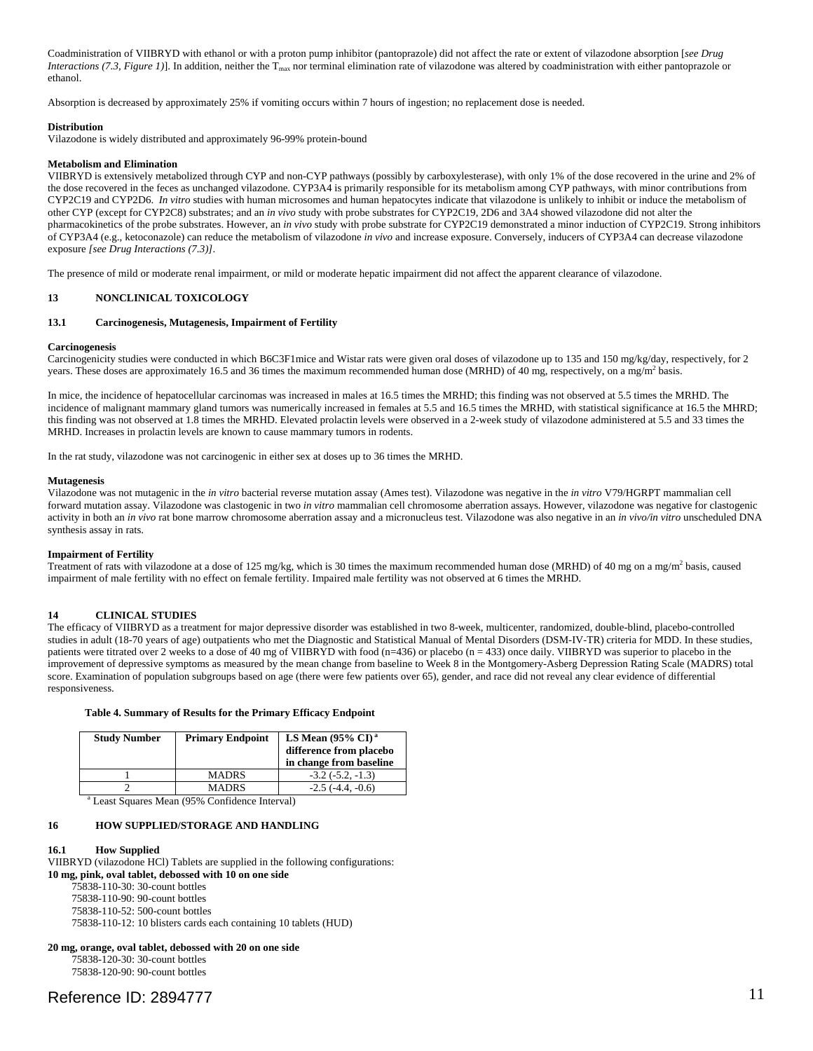Coadministration of VIIBRYD with ethanol or with a proton pump inhibitor (pantoprazole) did not affect the rate or extent of vilazodone absorption [*see Drug Interactions (7.3, Figure 1)*]. In addition, neither the  $T_{\text{max}}$  nor terminal elimination rate of vilazodone was altered by coadministration with either pantoprazole or ethanol

ethanol.<br>Absorption is decreased by approximately 25% if vomiting occurs within 7 hours of ingestion; no replacement dose is needed.

#### **Distribution**

Vilazodone is widely distributed and approximately 96-99% protein-bound

#### **Metabolism and Elimination**

 CYP2C19 and CYP2D6. *In vitro* studies with human microsomes and human hepatocytes indicate that vilazodone is unlikely to inhibit or induce the metabolism of VIIBRYD is extensively metabolized through CYP and non-CYP pathways (possibly by carboxylesterase), with only 1% of the dose recovered in the urine and 2% of the dose recovered in the feces as unchanged vilazodone. CYP3A4 is primarily responsible for its metabolism among CYP pathways, with minor contributions from other CYP (except for CYP2C8) substrates; and an *in vivo* study with probe substrates for CYP2C19, 2D6 and 3A4 showed vilazodone did not alter the pharmacokinetics of the probe substrates. However, an *in vivo* study with probe substrate for CYP2C19 demonstrated a minor induction of CYP2C19. Strong inhibitors of CYP3A4 (e.g., ketoconazole) can reduce the metabolism of vilazodone *in vivo* and increase exposure. Conversely, inducers of CYP3A4 can decrease vilazodone exposure *[see Drug Interactions (7.3)]*.

The presence of mild or moderate renal impairment, or mild or moderate hepatic impairment did not affect the apparent clearance of vilazodone.

#### **13 NONCLINICAL TOXICOLOGY**

#### **13.1 Carcinogenesis, Mutagenesis, Impairment of Fertility**

#### **Carcinogenesis**

 Carcinogenicity studies were conducted in which B6C3F1mice and Wistar rats were given oral doses of vilazodone up to 135 and 150 mg/kg/day, respectively, for 2 years. These doses are approximately 16.5 and 36 times the maximum recommended human dose (MRHD) of 40 mg, respectively, on a mg/m<sup>2</sup> basis.

In mice, the incidence of hepatocellular carcinomas was increased in males at 16.5 times the MRHD; this finding was not observed at 5.5 times the MRHD. The incidence of malignant mammary gland tumors was numerically increased in females at 5.5 and 16.5 times the MRHD, with statistical significance at 16.5 the MHRD; this finding was not observed at 1.8 times the MRHD. Elevated prolactin levels were observed in a 2-week study of vilazodone administered at 5.5 and 33 times the MRHD. Increases in prolactin levels are known to cause mammary tumors in rodents.

In the rat study, vilazodone was not carcinogenic in either sex at doses up to 36 times the MRHD.

# **Mutagenesis**

Vilazodone was not mutagenic in the *in vitro* bacterial reverse mutation assay (Ames test). Vilazodone was negative in the *in vitro* V79/HGRPT mammalian cell forward mutation assay. Vilazodone was clastogenic in two *in vitro* mammalian cell chromosome aberration assays. However, vilazodone was negative for clastogenic activity in both an *in vivo* rat bone marrow chromosome aberration assay and a micronucleus test. Vilazodone was also negative in an *in vivo/in vitro* unscheduled DNA synthesis assay in rats.

#### **Impairment of Fertility**

Treatment of rats with vilazodone at a dose of 125 mg/kg, which is 30 times the maximum recommended human dose (MRHD) of 40 mg on a mg/m<sup>2</sup> basis, caused impairment of male fertility with no effect on female fertility. Impaired male fertility was not observed at 6 times the MRHD.

# **14 CLINICAL STUDIES**

 score. Examination of population subgroups based on age (there were few patients over 65), gender, and race did not reveal any clear evidence of differential The efficacy of VIIBRYD as a treatment for major depressive disorder was established in two 8-week, multicenter, randomized, double-blind, placebo-controlled studies in adult (18-70 years of age) outpatients who met the Diagnostic and Statistical Manual of Mental Disorders (DSM-IV-TR) criteria for MDD. In these studies, patients were titrated over 2 weeks to a dose of 40 mg of VIIBRYD with food (n=436) or placebo (n = 433) once daily. VIIBRYD was superior to placebo in the improvement of depressive symptoms as measured by the mean change from baseline to Week 8 in the Montgomery-Asberg Depression Rating Scale (MADRS) total responsiveness.

#### **Table 4. Summary of Results for the Primary Efficacy Endpoint**

| <b>Study Number</b>                                       | <b>Primary Endpoint</b> | LS Mean $(95\% \text{ CI})^a$<br>difference from placebo<br>in change from baseline |  |  |
|-----------------------------------------------------------|-------------------------|-------------------------------------------------------------------------------------|--|--|
|                                                           | <b>MADRS</b>            | $-3.2(-5.2,-1.3)$                                                                   |  |  |
|                                                           | <b>MADRS</b>            | $-2.5(-4.4,-0.6)$                                                                   |  |  |
| <sup>a</sup> Least Squares Mean (95% Confidence Interval) |                         |                                                                                     |  |  |

#### **16 HOW SUPPLIED/STORAGE AND HANDLING**

#### **16.1 How Supplied**

VIIBRYD (vilazodone HCl) Tablets are supplied in the following configurations: **10 mg, pink, oval tablet, debossed with 10 on one side** 

75838-110-30: 30-count bottles

75838-110-90: 90-count bottles

75838-110-52: 500-count bottles

75838-110-12: 10 blisters cards each containing 10 tablets (HUD)

**20 mg, orange, oval tablet, debossed with 20 on one side**  75838-120-30: 30-count bottles

75838-120-90: 90-count bottles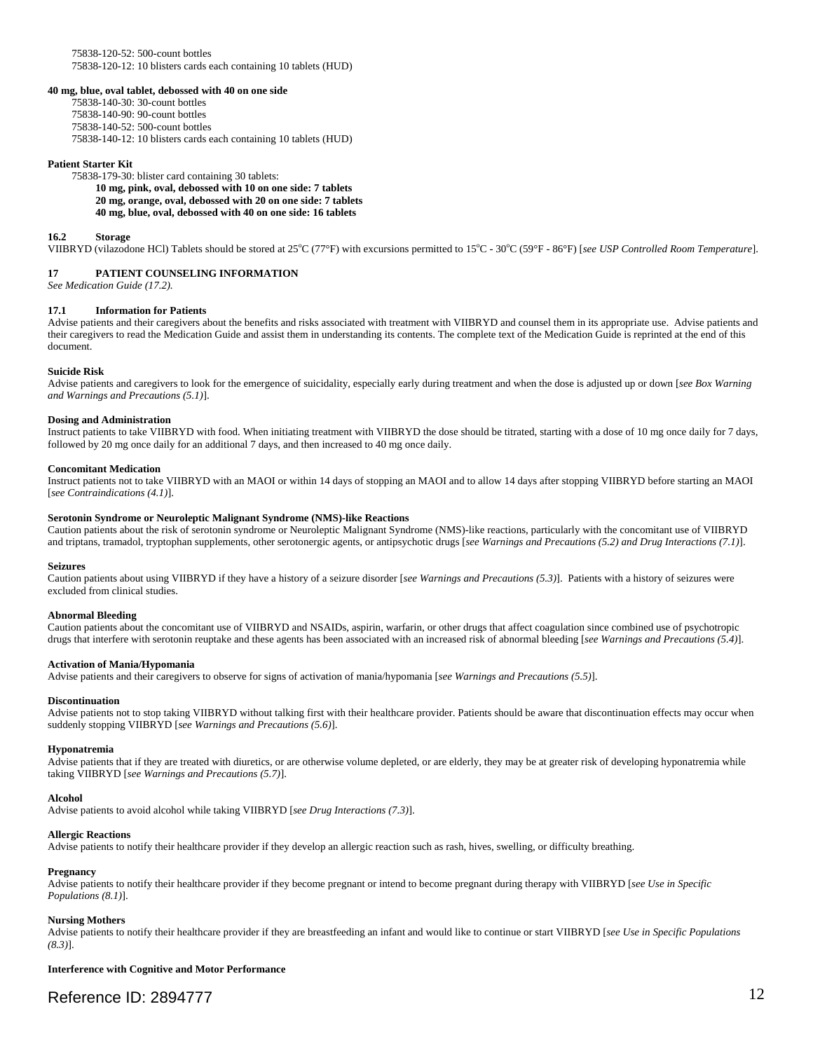75838-120-52: 500-count bottles 75838-120-12: 10 blisters cards each containing 10 tablets (HUD)

#### **40 mg, blue, oval tablet, debossed with 40 on one side**

75838-140-30: 30-count bottles 75838-140-90: 90-count bottles 75838-140-52: 500-count bottles 75838-140-12: 10 blisters cards each containing 10 tablets (HUD)

#### **Patient Starter Kit**

75838-179-30: blister card containing 30 tablets:

**10 mg, pink, oval, debossed with 10 on one side: 7 tablets 20 mg, orange, oval, debossed with 20 on one side: 7 tablets 40 mg, blue, oval, debossed with 40 on one side: 16 tablets** 

#### **16.2 Storage**

VIIBRYD (vilazodone HCl) Tablets should be stored at 25°C (77°F) with excursions permitted to 15°C - 30°C (59°F - 86°F) [*see USP Controlled Room Temperature*].

#### **17 PATIENT COUNSELING INFORMATION**

*See Medication Guide (17.2).* 

#### **17.1 Information for Patients**

Advise patients and their caregivers about the benefits and risks associated with treatment with VIIBRYD and counsel them in its appropriate use. Advise patients and their caregivers to read the Medication Guide and assist them in understanding its contents. The complete text of the Medication Guide is reprinted at the end of this document.

#### **Suicide Risk**

Advise patients and caregivers to look for the emergence of suicidality, especially early during treatment and when the dose is adjusted up or down [*see Box Warning and Warnings and Precautions (5.1)*].

#### **Dosing and Administration**

Instruct patients to take VIIBRYD with food. When initiating treatment with VIIBRYD the dose should be titrated, starting with a dose of 10 mg once daily for 7 days, followed by 20 mg once daily for an additional 7 days, and then increased to 40 mg once daily.

#### **Concomitant Medication**

Instruct patients not to take VIIBRYD with an MAOI or within 14 days of stopping an MAOI and to allow 14 days after stopping VIIBRYD before starting an MAOI [*see Contraindications (4.1)*].

#### **Serotonin Syndrome or Neuroleptic Malignant Syndrome (NMS)-like Reactions**

Caution patients about the risk of serotonin syndrome or Neuroleptic Malignant Syndrome (NMS)-like reactions, particularly with the concomitant use of VIIBRYD and triptans, tramadol, tryptophan supplements, other serotonergic agents, or antipsychotic drugs [*see Warnings and Precautions (5.2) and Drug Interactions (7.1)*].

#### **Seizures**

 Caution patients about using VIIBRYD if they have a history of a seizure disorder [*see Warnings and Precautions (5.3)*]. Patients with a history of seizures were excluded from clinical studies.

#### **Abnormal Bleeding**

Caution patients about the concomitant use of VIIBRYD and NSAIDs, aspirin, warfarin, or other drugs that affect coagulation since combined use of psychotropic drugs that interfere with serotonin reuptake and these agents has been associated with an increased risk of abnormal bleeding [*see Warnings and Precautions (5.4)*].

#### **Activation of Mania/Hypomania**

Advise patients and their caregivers to observe for signs of activation of mania/hypomania [*see Warnings and Precautions (5.5)*].

#### **Discontinuation**

Advise patients not to stop taking VIIBRYD without talking first with their healthcare provider. Patients should be aware that discontinuation effects may occur when suddenly stopping VIIBRYD [*see Warnings and Precautions (5.6)*].

#### **Hyponatremia**

Advise patients that if they are treated with diuretics, or are otherwise volume depleted, or are elderly, they may be at greater risk of developing hyponatremia while taking VIIBRYD [*see Warnings and Precautions (5.7)*].

#### **Alcohol**

Advise patients to avoid alcohol while taking VIIBRYD [*see Drug Interactions (7.3)*].

#### **Allergic Reactions**

Advise patients to notify their healthcare provider if they develop an allergic reaction such as rash, hives, swelling, or difficulty breathing.

#### **Pregnancy**

Advise patients to notify their healthcare provider if they become pregnant or intend to become pregnant during therapy with VIIBRYD [*see Use in Specific Populations (8.1)*].

#### **Nursing Mothers**

Advise patients to notify their healthcare provider if they are breastfeeding an infant and would like to continue or start VIIBRYD [*see Use in Specific Populations (8.3)*].

**Interference with Cognitive and Motor Performance**